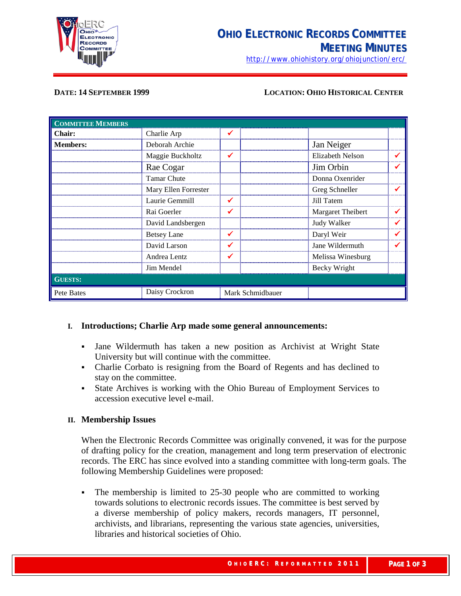

<http://www.ohiohistory.org/ohiojunction/erc/>

#### **DATE: 14 SEPTEMBER 1999 LOCATION: OHIO HISTORICAL CENTER**

| <b>COMMITTEE MEMBERS</b> |                      |                  |                         |  |
|--------------------------|----------------------|------------------|-------------------------|--|
| <b>Chair:</b>            | Charlie Arp          | $\checkmark$     |                         |  |
| <b>Members:</b>          | Deborah Archie       |                  | Jan Neiger              |  |
|                          | Maggie Buckholtz     | $\checkmark$     | <b>Elizabeth Nelson</b> |  |
|                          | Rae Cogar            |                  | Jim Orbin               |  |
|                          | <b>Tamar Chute</b>   |                  | Donna Oxenrider         |  |
|                          | Mary Ellen Forrester |                  | Greg Schneller          |  |
|                          | Laurie Gemmill       | $\checkmark$     | Jill Tatem              |  |
|                          | Rai Goerler          | ✓                | Margaret Theibert       |  |
|                          | David Landsbergen    |                  | Judy Walker             |  |
|                          | <b>Betsey Lane</b>   | $\checkmark$     | Daryl Weir              |  |
|                          | David Larson         | ✔                | Jane Wildermuth         |  |
|                          | Andrea Lentz         | ✔                | Melissa Winesburg       |  |
|                          | Jim Mendel           |                  | Becky Wright            |  |
| <b>GUESTS:</b>           |                      |                  |                         |  |
| Pete Bates               | Daisy Crockron       | Mark Schmidbauer |                         |  |

#### **I. Introductions; Charlie Arp made some general announcements:**

- Jane Wildermuth has taken a new position as Archivist at Wright State University but will continue with the committee.
- Charlie Corbato is resigning from the Board of Regents and has declined to stay on the committee.
- State Archives is working with the Ohio Bureau of Employment Services to accession executive level e-mail.

#### **II. Membership Issues**

When the Electronic Records Committee was originally convened, it was for the purpose of drafting policy for the creation, management and long term preservation of electronic records. The ERC has since evolved into a standing committee with long-term goals. The following Membership Guidelines were proposed:

• The membership is limited to 25-30 people who are committed to working towards solutions to electronic records issues. The committee is best served by a diverse membership of policy makers, records managers, IT personnel, archivists, and librarians, representing the various state agencies, universities, libraries and historical societies of Ohio.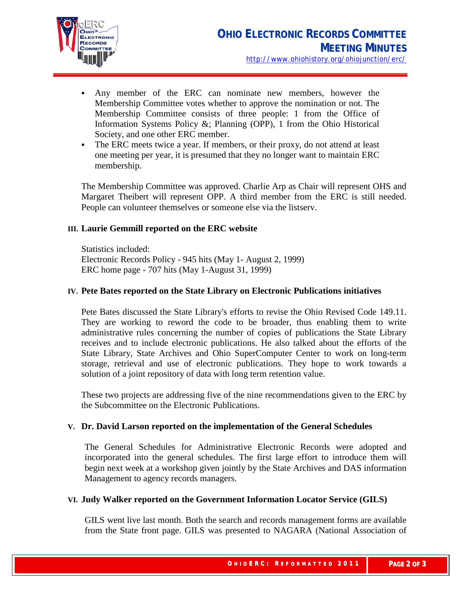

- Any member of the ERC can nominate new members, however the Membership Committee votes whether to approve the nomination or not. The Membership Committee consists of three people: 1 from the Office of Information Systems Policy &; Planning (OPP), 1 from the Ohio Historical Society, and one other ERC member.
- The ERC meets twice a year. If members, or their proxy, do not attend at least one meeting per year, it is presumed that they no longer want to maintain ERC membership.

The Membership Committee was approved. Charlie Arp as Chair will represent OHS and Margaret Theibert will represent OPP. A third member from the ERC is still needed. People can volunteer themselves or someone else via the listserv.

# **III. Laurie Gemmill reported on the ERC website**

Statistics included: Electronic Records Policy - 945 hits (May 1- August 2, 1999) ERC home page - 707 hits (May 1-August 31, 1999)

## **IV. Pete Bates reported on the State Library on Electronic Publications initiatives**

Pete Bates discussed the State Library's efforts to revise the Ohio Revised Code 149.11. They are working to reword the code to be broader, thus enabling them to write administrative rules concerning the number of copies of publications the State Library receives and to include electronic publications. He also talked about the efforts of the State Library, State Archives and Ohio SuperComputer Center to work on long-term storage, retrieval and use of electronic publications. They hope to work towards a solution of a joint repository of data with long term retention value.

These two projects are addressing five of the nine recommendations given to the ERC by the Subcommittee on the Electronic Publications.

## **V. Dr. David Larson reported on the implementation of the General Schedules**

The General Schedules for Administrative Electronic Records were adopted and incorporated into the general schedules. The first large effort to introduce them will begin next week at a workshop given jointly by the State Archives and DAS information Management to agency records managers.

## **VI. Judy Walker reported on the Government Information Locator Service (GILS)**

GILS went live last month. Both the search and records management forms are available from the State front page. GILS was presented to NAGARA (National Association of